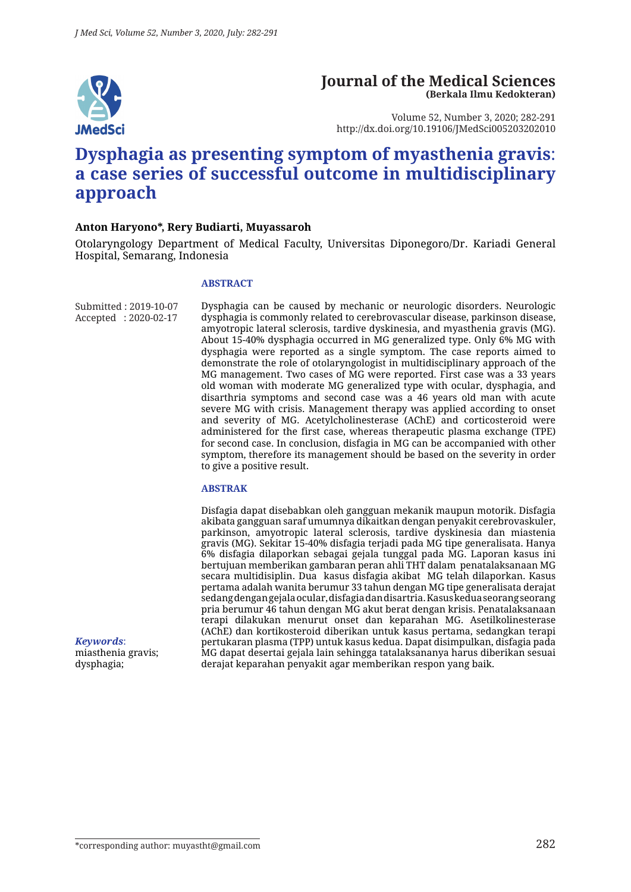

### **Journal of the Medical Sciences (Berkala Ilmu Kedokteran)**

Volume 52, Number 3, 2020; 282-291 http://dx.doi.org/10.19106/JMedSci005203202010

# **Dysphagia as presenting symptom of myasthenia gravis**: **a case series of successful outcome in multidisciplinary approach**

#### **Anton Haryono\*, Rery Budiarti, Muyassaroh**

Otolaryngology Department of Medical Faculty, Universitas Diponegoro/Dr. Kariadi General Hospital, Semarang, Indonesia

#### **ABSTRACT**

Submitted : 2019-10-07 Accepted : 2020-02-17 Dysphagia can be caused by mechanic or neurologic disorders. Neurologic dysphagia is commonly related to cerebrovascular disease, parkinson disease, amyotropic lateral sclerosis, tardive dyskinesia, and myasthenia gravis (MG). About 15-40% dysphagia occurred in MG generalized type. Only 6% MG with dysphagia were reported as a single symptom. The case reports aimed to demonstrate the role of otolaryngologist in multidisciplinary approach of the MG management. Two cases of MG were reported. First case was a 33 years old woman with moderate MG generalized type with ocular, dysphagia, and disarthria symptoms and second case was a 46 years old man with acute severe MG with crisis. Management therapy was applied according to onset and severity of MG. Acetylcholinesterase (AChE) and corticosteroid were administered for the first case, whereas therapeutic plasma exchange (TPE) for second case. In conclusion, disfagia in MG can be accompanied with other symptom, therefore its management should be based on the severity in order to give a positive result.

#### **ABSTRAK**

Disfagia dapat disebabkan oleh gangguan mekanik maupun motorik. Disfagia akibata gangguan saraf umumnya dikaitkan dengan penyakit cerebrovaskuler, parkinson, amyotropic lateral sclerosis, tardive dyskinesia dan miastenia gravis (MG). Sekitar 15-40% disfagia terjadi pada MG tipe generalisata. Hanya 6% disfagia dilaporkan sebagai gejala tunggal pada MG. Laporan kasus ini bertujuan memberikan gambaran peran ahli THT dalam penatalaksanaan MG secara multidisiplin. Dua kasus disfagia akibat MG telah dilaporkan. Kasus pertama adalah wanita berumur 33 tahun dengan MG tipe generalisata derajat sedang dengan gejala ocular, disfagia dan disartria. Kasus kedua seorang seorang pria berumur 46 tahun dengan MG akut berat dengan krisis. Penatalaksanaan terapi dilakukan menurut onset dan keparahan MG. Asetilkolinesterase (AChE) dan kortikosteroid diberikan untuk kasus pertama, sedangkan terapi pertukaran plasma (TPP) untuk kasus kedua. Dapat disimpulkan, disfagia pada MG dapat desertai gejala lain sehingga tatalaksananya harus diberikan sesuai derajat keparahan penyakit agar memberikan respon yang baik.

*Keywords*: miasthenia gravis; dysphagia;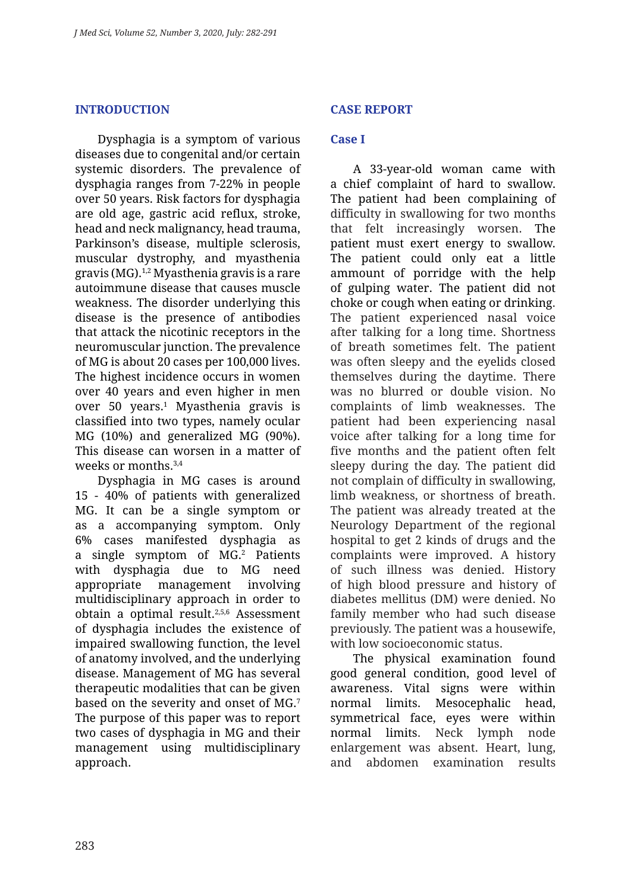#### **INTRODUCTION**

Dysphagia is a symptom of various diseases due to congenital and/or certain systemic disorders. The prevalence of dysphagia ranges from 7-22% in people over 50 years. Risk factors for dysphagia are old age, gastric acid reflux, stroke, head and neck malignancy, head trauma, Parkinson's disease, multiple sclerosis, muscular dystrophy, and myasthenia gravis (MG).1,2 Myasthenia gravis is a rare autoimmune disease that causes muscle weakness. The disorder underlying this disease is the presence of antibodies that attack the nicotinic receptors in the neuromuscular junction. The prevalence of MG is about 20 cases per 100,000 lives. The highest incidence occurs in women over 40 years and even higher in men over 50 years.1 Myasthenia gravis is classified into two types, namely ocular MG (10%) and generalized MG (90%). This disease can worsen in a matter of weeks or months.3,4

Dysphagia in MG cases is around 15 - 40% of patients with generalized MG. It can be a single symptom or as a accompanying symptom. Only 6% cases manifested dysphagia as a single symptom of MG.<sup>2</sup> Patients with dysphagia due to MG need appropriate management involving multidisciplinary approach in order to obtain a optimal result.2,5,6 Assessment of dysphagia includes the existence of impaired swallowing function, the level of anatomy involved, and the underlying disease. Management of MG has several therapeutic modalities that can be given based on the severity and onset of MG.7 The purpose of this paper was to report two cases of dysphagia in MG and their management using multidisciplinary approach.

### **CASE REPORT**

### **Case I**

A 33-year-old woman came with a chief complaint of hard to swallow. The patient had been complaining of difficulty in swallowing for two months that felt increasingly worsen. The patient must exert energy to swallow. The patient could only eat a little ammount of porridge with the help of gulping water. The patient did not choke or cough when eating or drinking. The patient experienced nasal voice after talking for a long time. Shortness of breath sometimes felt. The patient was often sleepy and the eyelids closed themselves during the daytime. There was no blurred or double vision. No complaints of limb weaknesses. The patient had been experiencing nasal voice after talking for a long time for five months and the patient often felt sleepy during the day. The patient did not complain of difficulty in swallowing, limb weakness, or shortness of breath. The patient was already treated at the Neurology Department of the regional hospital to get 2 kinds of drugs and the complaints were improved. A history of such illness was denied. History of high blood pressure and history of diabetes mellitus (DM) were denied. No family member who had such disease previously. The patient was a housewife, with low socioeconomic status.

The physical examination found good general condition, good level of awareness. Vital signs were within normal limits. Mesocephalic head, symmetrical face, eyes were within normal limits. Neck lymph node enlargement was absent. Heart, lung, and abdomen examination results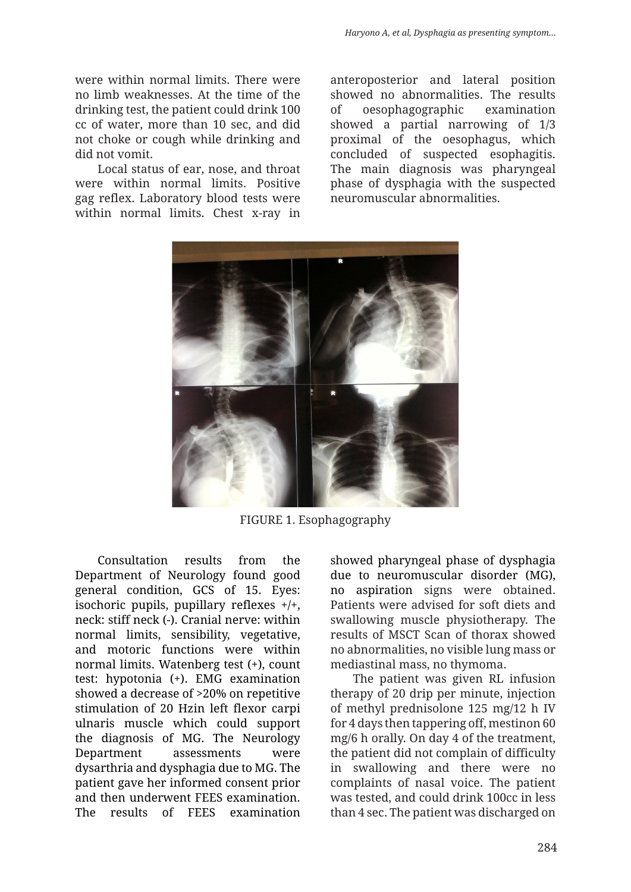were within normal limits. There were no limb weaknesses. At the time of the drinking test, the patient could drink 100 cc of water, more than 10 sec, and did not choke or cough while drinking and did not vomit.

Local status of ear, nose, and throat were within normal limits. Positive gag reflex. Laboratory blood tests were within normal limits. Chest x-ray in anteroposterior and lateral position showed no abnormalities. The results of oesophagographic examination showed a partial narrowing of 1/3 proximal of the oesophagus, which concluded of suspected esophagitis. The main diagnosis was pharyngeal phase of dysphagia with the suspected neuromuscular abnormalities.



FIGURE 1. Esophagography

Consultation results from the Department of Neurology found good general condition, GCS of 15. Eyes: isochoric pupils, pupillary reflexes  $+/+$ , neck: stiff neck (-). Cranial nerve: within normal limits, sensibility, vegetative, and motoric functions were within normal limits. Watenberg test (+), count test: hypotonia (+). EMG examination showed a decrease of >20% on repetitive stimulation of 20 Hzin left flexor carpi ulnaris muscle which could support the diagnosis of MG. The Neurology Department assessments were dysarthria and dysphagia due to MG. The patient gave her informed consent prior and then underwent FEES examination. The results of FEES examination showed pharyngeal phase of dysphagia due to neuromuscular disorder (MG), no aspiration signs were obtained. Patients were advised for soft diets and swallowing muscle physiotherapy. The results of MSCT Scan of thorax showed no abnormalities, no visible lung mass or mediastinal mass, no thymoma.

The patient was given RL infusion therapy of 20 drip per minute, injection of methyl prednisolone 125 mg/12 h IV for 4 days then tappering off, mestinon 60 mg/6 h orally. On day 4 of the treatment, the patient did not complain of difficulty in swallowing and there were no complaints of nasal voice. The patient was tested, and could drink 100cc in less than 4 sec. The patient was discharged on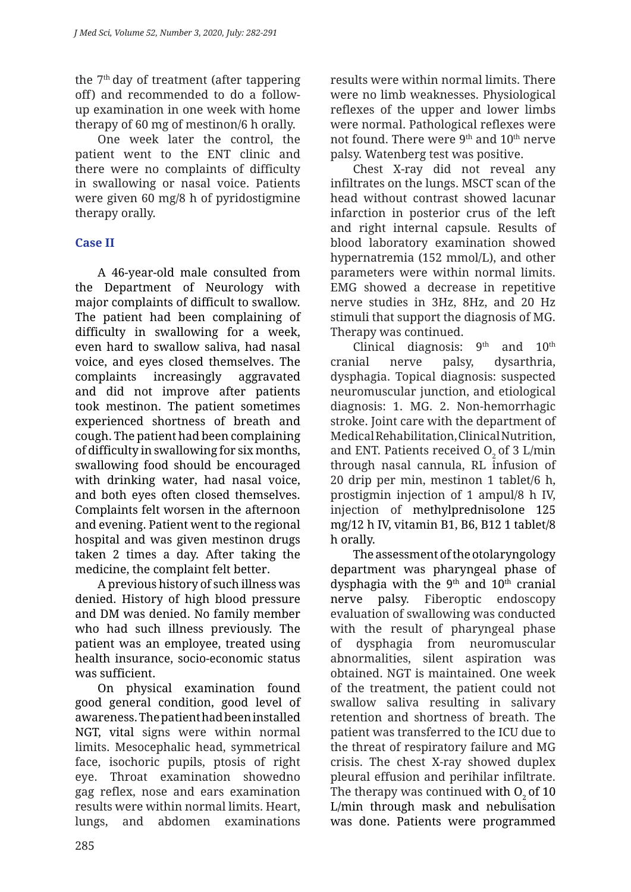the  $7<sup>th</sup>$  day of treatment (after tappering off) and recommended to do a followup examination in one week with home therapy of 60 mg of mestinon/6 h orally.

One week later the control, the patient went to the ENT clinic and there were no complaints of difficulty in swallowing or nasal voice. Patients were given 60 mg/8 h of pyridostigmine therapy orally.

# **Case II**

A 46-year-old male consulted from the Department of Neurology with major complaints of difficult to swallow. The patient had been complaining of difficulty in swallowing for a week, even hard to swallow saliva, had nasal voice, and eyes closed themselves. The complaints increasingly aggravated and did not improve after patients took mestinon. The patient sometimes experienced shortness of breath and cough. The patient had been complaining of difficulty in swallowing for six months, swallowing food should be encouraged with drinking water, had nasal voice, and both eyes often closed themselves. Complaints felt worsen in the afternoon and evening. Patient went to the regional hospital and was given mestinon drugs taken 2 times a day. After taking the medicine, the complaint felt better.

A previous history of such illness was denied. History of high blood pressure and DM was denied. No family member who had such illness previously. The patient was an employee, treated using health insurance, socio-economic status was sufficient.

On physical examination found good general condition, good level of awareness. The patient had been installed NGT, vital signs were within normal limits. Mesocephalic head, symmetrical face, isochoric pupils, ptosis of right eye. Throat examination showedno gag reflex, nose and ears examination results were within normal limits. Heart, lungs, and abdomen examinations

results were within normal limits. There were no limb weaknesses. Physiological reflexes of the upper and lower limbs were normal. Pathological reflexes were not found. There were  $9<sup>th</sup>$  and  $10<sup>th</sup>$  nerve palsy. Watenberg test was positive.

Chest X-ray did not reveal any infiltrates on the lungs. MSCT scan of the head without contrast showed lacunar infarction in posterior crus of the left and right internal capsule. Results of blood laboratory examination showed hypernatremia (152 mmol/L), and other parameters were within normal limits. EMG showed a decrease in repetitive nerve studies in 3Hz, 8Hz, and 20 Hz stimuli that support the diagnosis of MG. Therapy was continued.

Clinical diagnosis:  $9<sup>th</sup>$  and  $10<sup>th</sup>$ cranial nerve palsy, dysarthria, dysphagia. Topical diagnosis: suspected neuromuscular junction, and etiological diagnosis: 1. MG. 2. Non-hemorrhagic stroke. Joint care with the department of Medical Rehabilitation, Clinical Nutrition, and ENT. Patients received  $O<sub>2</sub>$  of 3 L/min through nasal cannula, RL infusion of 20 drip per min, mestinon 1 tablet/6 h, prostigmin injection of 1 ampul/8 h IV, injection of methylprednisolone 125 mg/12 h IV, vitamin B1, B6, B12 1 tablet/8 h orally.

The assessment of the otolaryngology department was pharyngeal phase of dysphagia with the  $9<sup>th</sup>$  and  $10<sup>th</sup>$  cranial nerve palsy. Fiberoptic endoscopy evaluation of swallowing was conducted with the result of pharyngeal phase of dysphagia from neuromuscular abnormalities, silent aspiration was obtained. NGT is maintained. One week of the treatment, the patient could not swallow saliva resulting in salivary retention and shortness of breath. The patient was transferred to the ICU due to the threat of respiratory failure and MG crisis. The chest X-ray showed duplex pleural effusion and perihilar infiltrate. The therapy was continued with  $O<sub>2</sub>$  of 10 L/min through mask and nebulisation was done. Patients were programmed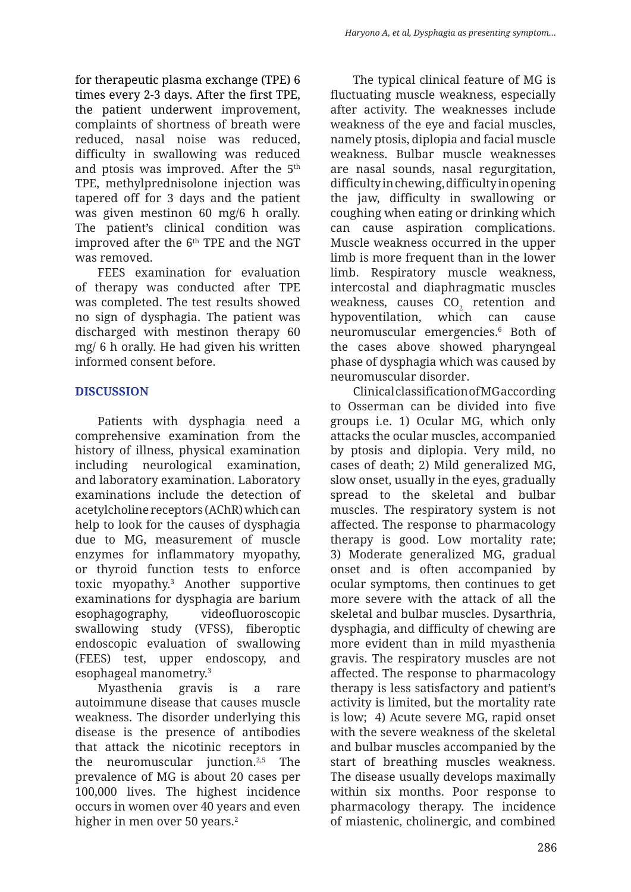for therapeutic plasma exchange (TPE) 6 times every 2-3 days. After the first TPE, the patient underwent improvement, complaints of shortness of breath were reduced, nasal noise was reduced, difficulty in swallowing was reduced and ptosis was improved. After the 5<sup>th</sup> TPE, methylprednisolone injection was tapered off for 3 days and the patient was given mestinon 60 mg/6 h orally. The patient's clinical condition was improved after the 6<sup>th</sup> TPE and the NGT was removed.

FEES examination for evaluation of therapy was conducted after TPE was completed. The test results showed no sign of dysphagia. The patient was discharged with mestinon therapy 60 mg/ 6 h orally. He had given his written informed consent before.

# **DISCUSSION**

Patients with dysphagia need a comprehensive examination from the history of illness, physical examination including neurological examination, and laboratory examination. Laboratory examinations include the detection of acetylcholine receptors (AChR) which can help to look for the causes of dysphagia due to MG, measurement of muscle enzymes for inflammatory myopathy, or thyroid function tests to enforce toxic myopathy.3 Another supportive examinations for dysphagia are barium esophagography, videofluoroscopic swallowing study (VFSS), fiberoptic endoscopic evaluation of swallowing (FEES) test, upper endoscopy, and esophageal manometry.3

Myasthenia gravis is a rare autoimmune disease that causes muscle weakness. The disorder underlying this disease is the presence of antibodies that attack the nicotinic receptors in the neuromuscular junction.2,5 The prevalence of MG is about 20 cases per 100,000 lives. The highest incidence occurs in women over 40 years and even higher in men over 50 years.<sup>2</sup>

The typical clinical feature of MG is fluctuating muscle weakness, especially after activity. The weaknesses include weakness of the eye and facial muscles, namely ptosis, diplopia and facial muscle weakness. Bulbar muscle weaknesses are nasal sounds, nasal regurgitation, difficulty in chewing, difficulty in opening the jaw, difficulty in swallowing or coughing when eating or drinking which can cause aspiration complications. Muscle weakness occurred in the upper limb is more frequent than in the lower limb. Respiratory muscle weakness, intercostal and diaphragmatic muscles weakness, causes  $\mathrm{CO}_2^-$  retention and hypoventilation, which can cause neuromuscular emergencies.6 Both of the cases above showed pharyngeal phase of dysphagia which was caused by neuromuscular disorder.

Clinical classification of MG according to Osserman can be divided into five groups i.e. 1) Ocular MG, which only attacks the ocular muscles, accompanied by ptosis and diplopia. Very mild, no cases of death; 2) Mild generalized MG, slow onset, usually in the eyes, gradually spread to the skeletal and bulbar muscles. The respiratory system is not affected. The response to pharmacology therapy is good. Low mortality rate; 3) Moderate generalized MG, gradual onset and is often accompanied by ocular symptoms, then continues to get more severe with the attack of all the skeletal and bulbar muscles. Dysarthria, dysphagia, and difficulty of chewing are more evident than in mild myasthenia gravis. The respiratory muscles are not affected. The response to pharmacology therapy is less satisfactory and patient's activity is limited, but the mortality rate is low; 4) Acute severe MG, rapid onset with the severe weakness of the skeletal and bulbar muscles accompanied by the start of breathing muscles weakness. The disease usually develops maximally within six months. Poor response to pharmacology therapy. The incidence of miastenic, cholinergic, and combined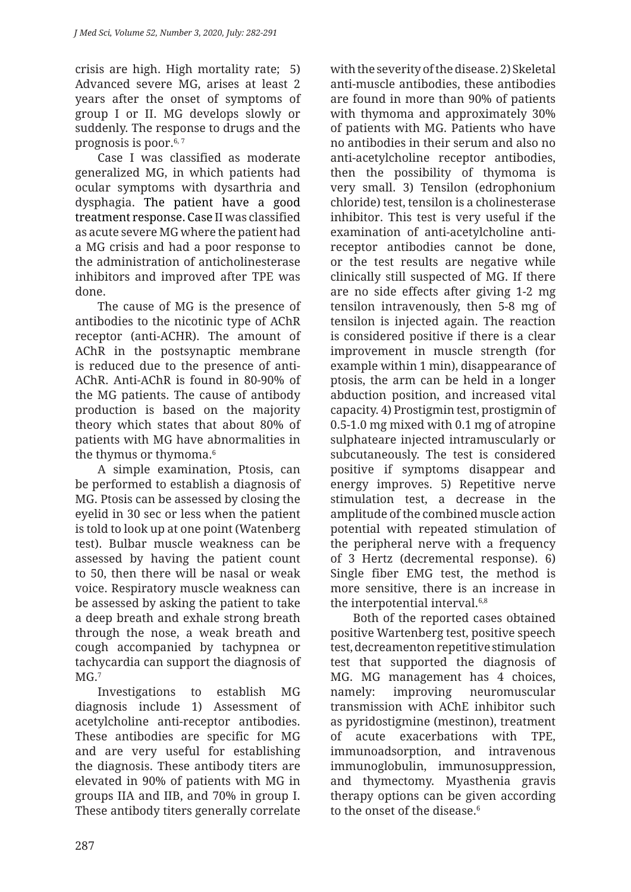crisis are high. High mortality rate; 5) Advanced severe MG, arises at least 2 years after the onset of symptoms of group I or II. MG develops slowly or suddenly. The response to drugs and the prognosis is poor. $6, 7$ 

Case I was classified as moderate generalized MG, in which patients had ocular symptoms with dysarthria and dysphagia. The patient have a good treatment response. Case II was classified as acute severe MG where the patient had a MG crisis and had a poor response to the administration of anticholinesterase inhibitors and improved after TPE was done.

The cause of MG is the presence of antibodies to the nicotinic type of AChR receptor (anti-ACHR). The amount of AChR in the postsynaptic membrane is reduced due to the presence of anti-AChR. Anti-AChR is found in 80-90% of the MG patients. The cause of antibody production is based on the majority theory which states that about 80% of patients with MG have abnormalities in the thymus or thymoma.<sup>6</sup>

A simple examination, Ptosis, can be performed to establish a diagnosis of MG. Ptosis can be assessed by closing the eyelid in 30 sec or less when the patient is told to look up at one point (Watenberg test). Bulbar muscle weakness can be assessed by having the patient count to 50, then there will be nasal or weak voice. Respiratory muscle weakness can be assessed by asking the patient to take a deep breath and exhale strong breath through the nose, a weak breath and cough accompanied by tachypnea or tachycardia can support the diagnosis of  $MG<sub>1</sub><sup>7</sup>$ 

Investigations to establish MG diagnosis include 1) Assessment of acetylcholine anti-receptor antibodies. These antibodies are specific for MG and are very useful for establishing the diagnosis. These antibody titers are elevated in 90% of patients with MG in groups IIA and IIB, and 70% in group I. These antibody titers generally correlate with the severity of the disease. 2) Skeletal anti-muscle antibodies, these antibodies are found in more than 90% of patients with thymoma and approximately 30% of patients with MG. Patients who have no antibodies in their serum and also no anti-acetylcholine receptor antibodies, then the possibility of thymoma is very small. 3) Tensilon (edrophonium chloride) test, tensilon is a cholinesterase inhibitor. This test is very useful if the examination of anti-acetylcholine antireceptor antibodies cannot be done, or the test results are negative while clinically still suspected of MG. If there are no side effects after giving 1-2 mg tensilon intravenously, then 5-8 mg of tensilon is injected again. The reaction is considered positive if there is a clear improvement in muscle strength (for example within 1 min), disappearance of ptosis, the arm can be held in a longer abduction position, and increased vital capacity. 4) Prostigmin test, prostigmin of 0.5-1.0 mg mixed with 0.1 mg of atropine sulphateare injected intramuscularly or subcutaneously. The test is considered positive if symptoms disappear and energy improves. 5) Repetitive nerve stimulation test, a decrease in the amplitude of the combined muscle action potential with repeated stimulation of the peripheral nerve with a frequency of 3 Hertz (decremental response). 6) Single fiber EMG test, the method is more sensitive, there is an increase in the interpotential interval.<sup>6,8</sup>

Both of the reported cases obtained positive Wartenberg test, positive speech test, decreamenton repetitive stimulation test that supported the diagnosis of MG. MG management has 4 choices, namely: improving neuromuscular transmission with AChE inhibitor such as pyridostigmine (mestinon), treatment of acute exacerbations with TPE, immunoadsorption, and intravenous immunoglobulin, immunosuppression, and thymectomy. Myasthenia gravis therapy options can be given according to the onset of the disease.<sup>6</sup>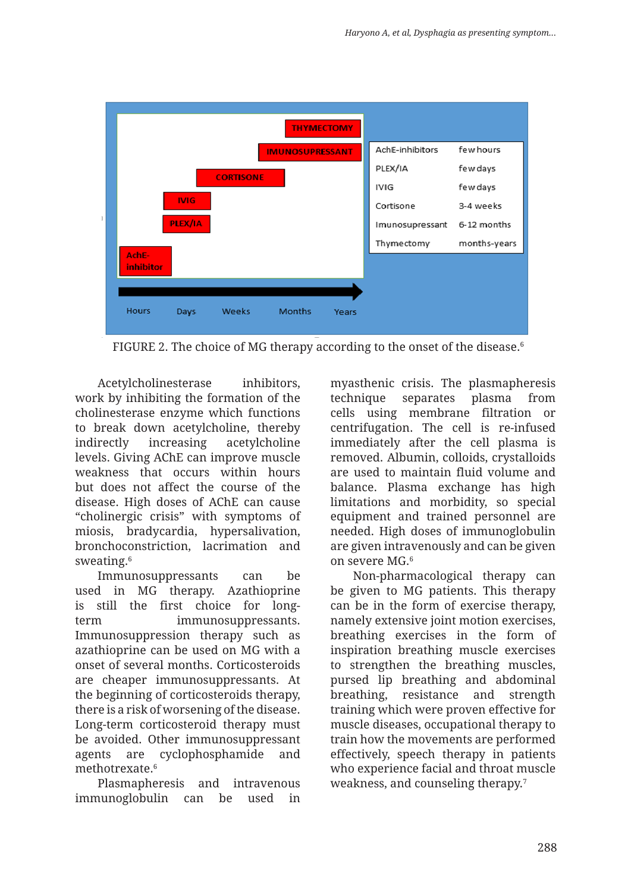

FIGURE 2. The choice of MG therapy according to the onset of the disease.<sup>6</sup>

Acetylcholinesterase inhibitors, work by inhibiting the formation of the cholinesterase enzyme which functions to break down acetylcholine, thereby indirectly increasing acetylcholine levels. Giving AChE can improve muscle weakness that occurs within hours but does not affect the course of the disease. High doses of AChE can cause "cholinergic crisis" with symptoms of miosis, bradycardia, hypersalivation, bronchoconstriction, lacrimation and sweating.6

Immunosuppressants can be used in MG therapy. Azathioprine is still the first choice for longterm immunosuppressants. Immunosuppression therapy such as azathioprine can be used on MG with a onset of several months. Corticosteroids are cheaper immunosuppressants. At the beginning of corticosteroids therapy, there is a risk of worsening of the disease. Long-term corticosteroid therapy must be avoided. Other immunosuppressant agents are cyclophosphamide and methotrexate.<sup>6</sup>

Plasmapheresis and intravenous immunoglobulin can be used in

myasthenic crisis. The plasmapheresis technique separates plasma from cells using membrane filtration or centrifugation. The cell is re-infused immediately after the cell plasma is removed. Albumin, colloids, crystalloids are used to maintain fluid volume and balance. Plasma exchange has high limitations and morbidity, so special equipment and trained personnel are needed. High doses of immunoglobulin are given intravenously and can be given on severe MG.6

Non-pharmacological therapy can be given to MG patients. This therapy can be in the form of exercise therapy, namely extensive joint motion exercises, breathing exercises in the form of inspiration breathing muscle exercises to strengthen the breathing muscles, pursed lip breathing and abdominal breathing, resistance and strength training which were proven effective for muscle diseases, occupational therapy to train how the movements are performed effectively, speech therapy in patients who experience facial and throat muscle weakness, and counseling therapy.7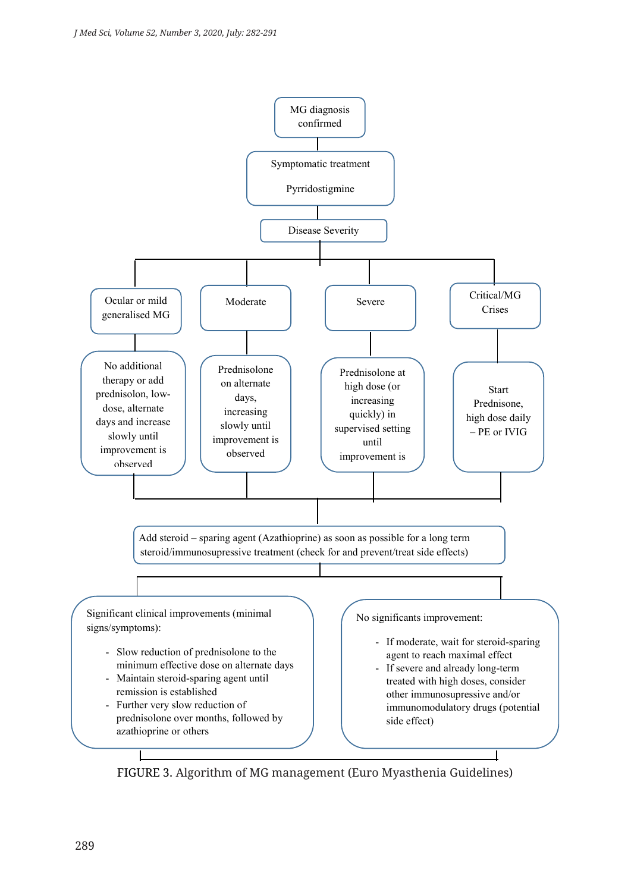

FIGURE 3. Algorithm of MG management (Euro Myasthenia Guidelines)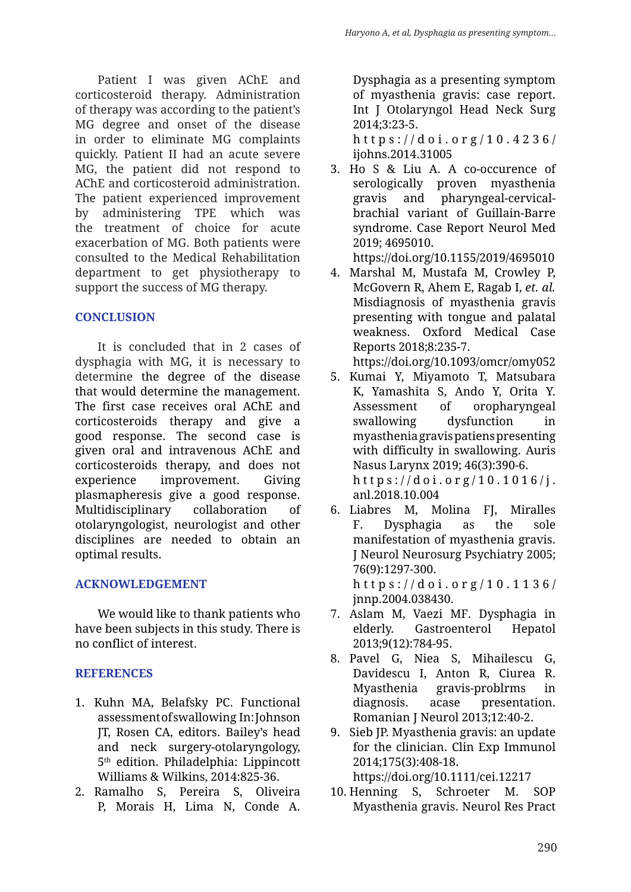Patient I was given AChE and corticosteroid therapy. Administration of therapy was according to the patient's MG degree and onset of the disease in order to eliminate MG complaints quickly. Patient II had an acute severe MG, the patient did not respond to AChE and corticosteroid administration. The patient experienced improvement by administering TPE which was the treatment of choice for acute exacerbation of MG. Both patients were consulted to the Medical Rehabilitation department to get physiotherapy to support the success of MG therapy.

# **CONCLUSION**

It is concluded that in 2 cases of dysphagia with MG, it is necessary to determine the degree of the disease that would determine the management. The first case receives oral AChE and corticosteroids therapy and give a good response. The second case is given oral and intravenous AChE and corticosteroids therapy, and does not experience improvement. Giving plasmapheresis give a good response. Multidisciplinary collaboration of otolaryngologist, neurologist and other disciplines are needed to obtain an optimal results.

# **ACKNOWLEDGEMENT**

We would like to thank patients who have been subjects in this study. There is no conflict of interest.

# **REFERENCES**

- 1. Kuhn MA, Belafsky PC. Functional assessment of swallowing In: Johnson JT, Rosen CA, editors. Bailey's head and neck surgery-otolaryngology, 5th edition. Philadelphia: Lippincott Williams & Wilkins, 2014:825-36.
- 2. Ramalho S, Pereira S, Oliveira P, Morais H, Lima N, Conde A.

Dysphagia as a presenting symptom of myasthenia gravis: case report. Int J Otolaryngol Head Neck Surg 2014;3:23-5.

https://doi.org/ 10.4236/ ijohns.2014.31005

3. Ho S & Liu A. A co-occurence of serologically proven myasthenia gravis and pharyngeal-cervicalbrachial variant of Guillain-Barre syndrome. Case Report Neurol Med 2019; 4695010.

https://doi.org/10.1155/2019/4695010

4. Marshal M, Mustafa M, Crowley P, McGovern R, Ahem E, Ragab I, *et. al.* Misdiagnosis of myasthenia gravis presenting with tongue and palatal weakness. Oxford Medical Case Reports 2018;8:235-7.

https://doi.org/10.1093/omcr/omy052

- 5. Kumai Y, Miyamoto T, Matsubara K, Yamashita S, Ando Y, Orita Y. Assessment of oropharyngeal swallowing dysfunction in myasthenia gravis patiens presenting with difficulty in swallowing. Auris Nasus Larynx 2019; 46(3):390-6. https://doi.org/10.1016/j. anl.2018.10.004
- 6. Liabres M, Molina FJ, Miralles F. Dysphagia as the sole manifestation of myasthenia gravis. J Neurol Neurosurg Psychiatry 2005; 76(9):1297-300. https://doi.org/10.1136/ jnnp.2004.038430.
- 7. Aslam M, Vaezi MF. Dysphagia in elderly. Gastroenterol Hepatol 2013;9(12):784-95.
- 8. Pavel G, Niea S, Mihailescu G, Davidescu I, Anton R, Ciurea R. Myasthenia gravis-problrms in diagnosis. acase presentation. Romanian J Neurol 2013;12:40-2.
- 9. Sieb JP. Myasthenia gravis: an update for the clinician. Clin Exp Immunol 2014;175(3):408-18. https://doi.org/10.1111/cei.12217
- 10. Henning S, Schroeter M. SOP Myasthenia gravis. Neurol Res Pract